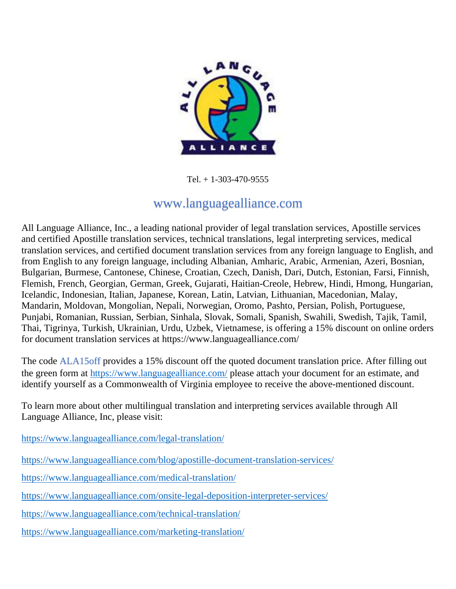

Tel. + 1-303-470-9555

## www.languagealliance.com

All Language Alliance, Inc., a leading national provider of legal translation services, Apostille services and certified Apostille translation services, technical translations, legal interpreting services, medical translation services, and certified document translation services from any foreign language to English, and from English to any foreign language, including Albanian, Amharic, Arabic, Armenian, Azeri, Bosnian, Bulgarian, Burmese, Cantonese, Chinese, Croatian, Czech, Danish, Dari, Dutch, Estonian, Farsi, Finnish, Flemish, French, Georgian, German, Greek, Gujarati, Haitian-Creole, Hebrew, Hindi, Hmong, Hungarian, Icelandic, Indonesian, Italian, Japanese, Korean, Latin, Latvian, Lithuanian, Macedonian, Malay, Mandarin, Moldovan, Mongolian, Nepali, Norwegian, Oromo, Pashto, Persian, Polish, Portuguese, Punjabi, Romanian, Russian, Serbian, Sinhala, Slovak, Somali, Spanish, Swahili, Swedish, Tajik, Tamil, Thai, Tigrinya, Turkish, Ukrainian, Urdu, Uzbek, Vietnamese, is offering a 15% discount on online orders for document translation services at https://www.languagealliance.com/

The code **ALA15off** provides a 15% discount off the quoted document translation price. After filling out the green form at<https://www.languagealliance.com/> please attach your document for an estimate, and identify yourself as a Commonwealth of Virginia employee to receive the above-mentioned discount.

To learn more about other multilingual translation and interpreting services available through All Language Alliance, Inc, please visit:

<https://www.languagealliance.com/legal-translation/>

<https://www.languagealliance.com/blog/apostille-document-translation-services/>

<https://www.languagealliance.com/medical-translation/>

<https://www.languagealliance.com/onsite-legal-deposition-interpreter-services/>

<https://www.languagealliance.com/technical-translation/>

<https://www.languagealliance.com/marketing-translation/>